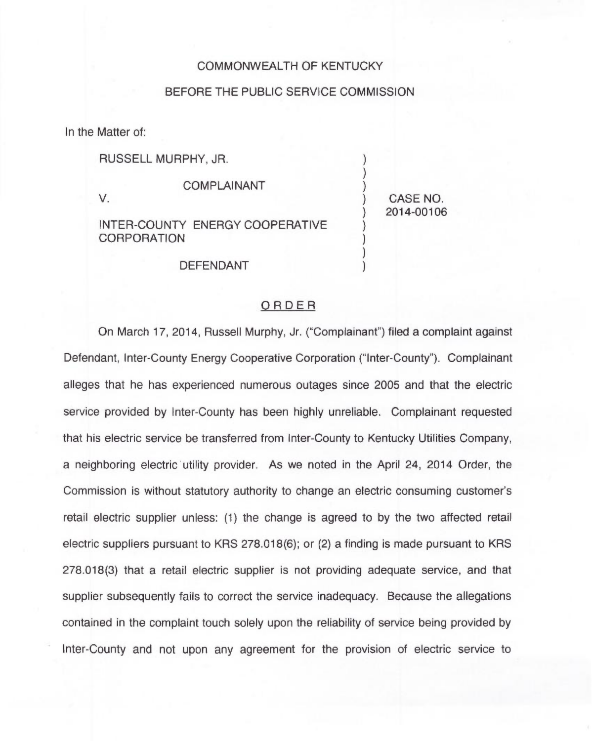## COMMONWEALTH OF KENTUCKY

## BEFORE THE PUBLIC SERVICE COMMISSION

In the Matter of:

RUSSELL MURPHY, JR.

COMPLAINANT

V.

INTER-COUNTY ENERGY COOPERATIVE **CORPORATION** 

) CASE NO. ) 2014-00106

 $\overline{\phantom{a}}$ ) )

) )  $\overline{\phantom{a}}$ )

DEFENDANT

## ORDER

On March 17, 2014, Russell Murphy, Jr. ("Complainant") filed a complaint agains Defendant, Inter-County Energy Cooperative Corporation ("Inter-County"). Complainant alleges that he has experienced numerous outages since 2005 and that the electric service provided by Inter-County has been highly unreliable. Complainant requested that his electric service be transferred from Inter-County to Kentucky Utilities Company, a neighboring electric utility provider. As we noted in the April 24, 2014 Order, the Commission is without statutory authority to change an electric consuming customer' retail electric supplier unless: (1) the change is agreed to by the two affected retail electric suppliers pursuant to KRS 278.018(6); or (2) a finding is made pursuant to KRS 278.018(3) that a retail electric supplier is not providing adequate service, and that supplier subsequently fails to correct the service inadequacy. Because the allegations contained in the complaint touch solely upon the reliability of service being provided by Inter-County and not upon any agreement for the provision of electric service to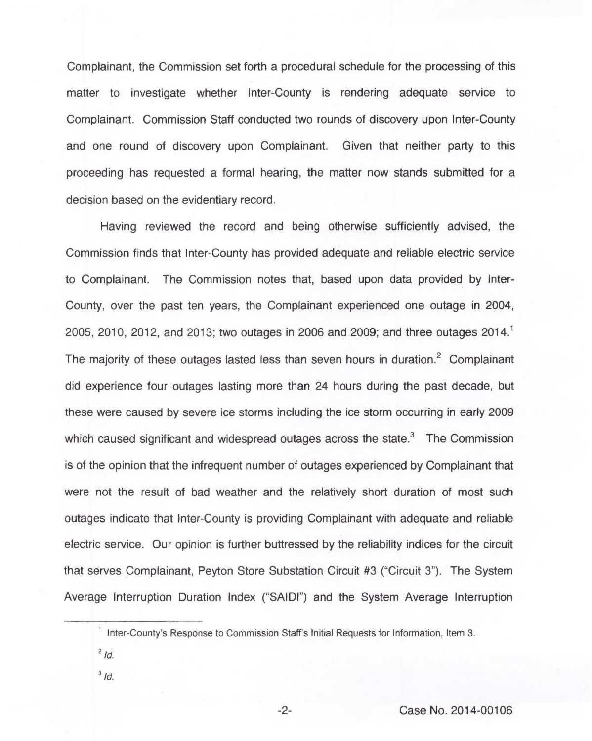Complainant, the Commission set forth a procedural schedule for the processing of this matter to investigate whether Inter-County is rendering adequate service to Complainant. Commission Staff conducted two rounds of discovery upon Inter-County and one round of discovery upon Complainant. Given that neither party to this proceeding has requested a formal hearing, the matter now stands submitted for a decision based on the evidentiary record.

Having reviewed the record and being otherwise sufficiently advised, the Commission finds that Inter-County has provided adequate and reliable electric service to Complainant. The Commission notes that, based upon data provided by Inter-County, over the past ten years, the Complainant experienced one outage in 2004, 2005, 2010, 2012, and 2013; two outages in 2006 and 2009; and three outages 2014. The majority of these outages lasted less than seven hours in duration.<sup>2</sup> Complainant did experience four outages lasting more than 24 hours during the past decade, but these were caused by severe ice storms including the ice storm occurring in early 2009 which caused significant and widespread outages across the state. $\delta$  The Commission is of the opinion that the infrequent number of outages experienced by Complainant that were not the result of bad weather and the relatively short duration of most such outages indicate that Inter-County is providing Complainant with adequate and reliable electric service. Our opinion is further buttressed by the reliability indices for the circuit that serves Complainant, Peyton Store Substation Circuit #3 ("Circuit 3"). The System Average Interruption Duration Index ("SAIDI") and the System Average Interruption

- $2/d$ .
- $3/d.$

<sup>&</sup>lt;sup>1</sup> Inter-County's Response to Commission Staff's Initial Requests for Information, Item 3.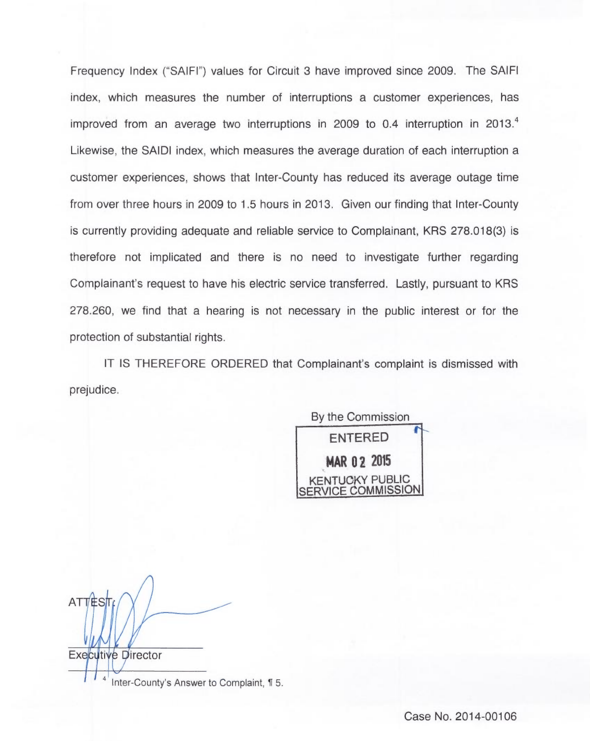Frequency Index ("SAIFI") values for Circuit 3 have improved since 2009. The SAIFI index, which measures the number of interruptions a customer experiences, has improved from an average two interruptions in 2009 to 0.4 interruption in 2013. Likewise, the SAIDI index, which measures the average duration of each interruption a customer experiences, shows that Inter-County has reduced its average outage time from over three hours in 2009 to 1.5 hours in 2013. Given our finding that Inter-County is currently providing adequate and reliable service to Complainant, KRS 278.018(3) is therefore not implicated and there is no need to investigate further regarding Complainant's request to have his electric service transferred. Lastly, pursuant to KRS 278.260, we find that a hearing is not necessary in the public interest or for the protection of substantial rights.

IT IS THEREFORE ORDERED that Complainant's complaint is dismissed with prejudice.

By the Commission ENTERED MAR 02 2015 NTUCKY PUBLIC **ERVICE COMMISSION** 

**ATTEST Executive Director**  $\overline{4}$ Inter-County's Answer to Complaint, 15.